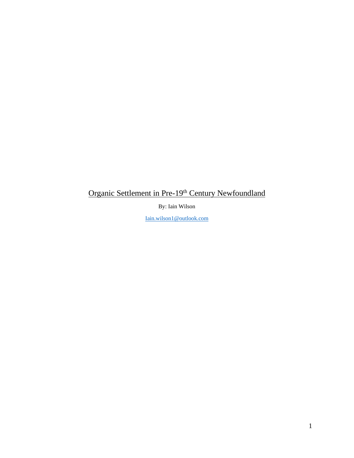## Organic Settlement in Pre-19th Century Newfoundland

By: Iain Wilson

[Iain.wilson1@outlook.com](mailto:Iain.wilson1@outlook.com)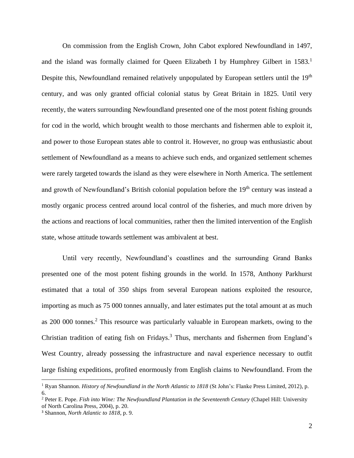On commission from the English Crown, John Cabot explored Newfoundland in 1497, and the island was formally claimed for Queen Elizabeth I by Humphrey Gilbert in 1583.<sup>1</sup> Despite this, Newfoundland remained relatively unpopulated by European settlers until the 19<sup>th</sup> century, and was only granted official colonial status by Great Britain in 1825. Until very recently, the waters surrounding Newfoundland presented one of the most potent fishing grounds for cod in the world, which brought wealth to those merchants and fishermen able to exploit it, and power to those European states able to control it. However, no group was enthusiastic about settlement of Newfoundland as a means to achieve such ends, and organized settlement schemes were rarely targeted towards the island as they were elsewhere in North America. The settlement and growth of Newfoundland's British colonial population before the 19<sup>th</sup> century was instead a mostly organic process centred around local control of the fisheries, and much more driven by the actions and reactions of local communities, rather then the limited intervention of the English state, whose attitude towards settlement was ambivalent at best.

Until very recently, Newfoundland's coastlines and the surrounding Grand Banks presented one of the most potent fishing grounds in the world. In 1578, Anthony Parkhurst estimated that a total of 350 ships from several European nations exploited the resource, importing as much as 75 000 tonnes annually, and later estimates put the total amount at as much as 200 000 tonnes. <sup>2</sup> This resource was particularly valuable in European markets, owing to the Christian tradition of eating fish on Fridays.<sup>3</sup> Thus, merchants and fishermen from England's West Country, already possessing the infrastructure and naval experience necessary to outfit large fishing expeditions, profited enormously from English claims to Newfoundland. From the

<sup>1</sup> Ryan Shannon. *History of Newfoundland in the North Atlantic to 1818* (St John's: Flanke Press Limited, 2012), p. 6.

<sup>2</sup> Peter E. Pope. *Fish into Wine: The Newfoundland Plantation in the Seventeenth Century* (Chapel Hill: University of North Carolina Press, 2004), p. 20.

<sup>3</sup> Shannon, *North Atlantic to 1818*, p. 9.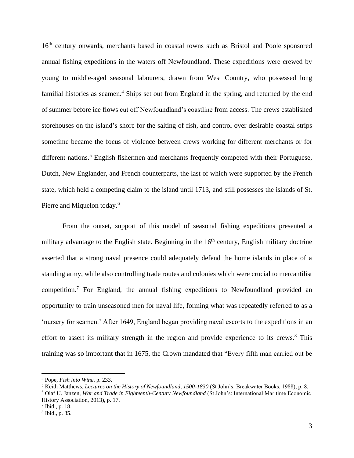16<sup>th</sup> century onwards, merchants based in coastal towns such as Bristol and Poole sponsored annual fishing expeditions in the waters off Newfoundland. These expeditions were crewed by young to middle-aged seasonal labourers, drawn from West Country, who possessed long familial histories as seamen.<sup>4</sup> Ships set out from England in the spring, and returned by the end of summer before ice flows cut off Newfoundland's coastline from access. The crews established storehouses on the island's shore for the salting of fish, and control over desirable coastal strips sometime became the focus of violence between crews working for different merchants or for different nations.<sup>5</sup> English fishermen and merchants frequently competed with their Portuguese, Dutch, New Englander, and French counterparts, the last of which were supported by the French state, which held a competing claim to the island until 1713, and still possesses the islands of St. Pierre and Miquelon today.<sup>6</sup>

From the outset, support of this model of seasonal fishing expeditions presented a military advantage to the English state. Beginning in the  $16<sup>th</sup>$  century, English military doctrine asserted that a strong naval presence could adequately defend the home islands in place of a standing army, while also controlling trade routes and colonies which were crucial to mercantilist competition.<sup>7</sup> For England, the annual fishing expeditions to Newfoundland provided an opportunity to train unseasoned men for naval life, forming what was repeatedly referred to as a 'nursery for seamen.' After 1649, England began providing naval escorts to the expeditions in an effort to assert its military strength in the region and provide experience to its crews.<sup>8</sup> This training was so important that in 1675, the Crown mandated that "Every fifth man carried out be

<sup>4</sup> Pope, *Fish into Wine*, p. 233.

<sup>5</sup> Keith Matthews, *Lectures on the History of Newfoundland, 1500-1830* (St John's: Breakwater Books, 1988), p. 8. <sup>6</sup> Olaf U. Janzen, *War and Trade in Eighteenth-Century Newfoundland* (St John's: International Maritime Economic History Association, 2013), p. 17.

<sup>7</sup> Ibid., p. 18.

<sup>8</sup> Ibid., p. 35.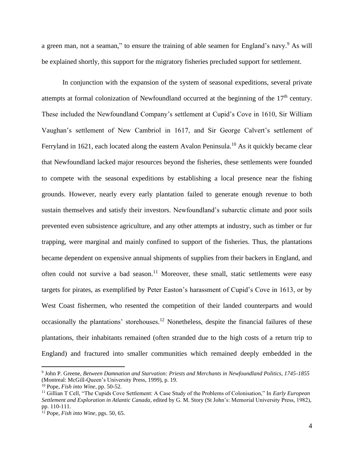a green man, not a seaman," to ensure the training of able seamen for England's navy. As will be explained shortly, this support for the migratory fisheries precluded support for settlement.

In conjunction with the expansion of the system of seasonal expeditions, several private attempts at formal colonization of Newfoundland occurred at the beginning of the 17<sup>th</sup> century. These included the Newfoundland Company's settlement at Cupid's Cove in 1610, Sir William Vaughan's settlement of New Cambriol in 1617, and Sir George Calvert's settlement of Ferryland in 1621, each located along the eastern Avalon Peninsula.<sup>10</sup> As it quickly became clear that Newfoundland lacked major resources beyond the fisheries, these settlements were founded to compete with the seasonal expeditions by establishing a local presence near the fishing grounds. However, nearly every early plantation failed to generate enough revenue to both sustain themselves and satisfy their investors. Newfoundland's subarctic climate and poor soils prevented even subsistence agriculture, and any other attempts at industry, such as timber or fur trapping, were marginal and mainly confined to support of the fisheries. Thus, the plantations became dependent on expensive annual shipments of supplies from their backers in England, and often could not survive a bad season.<sup>11</sup> Moreover, these small, static settlements were easy targets for pirates, as exemplified by Peter Easton's harassment of Cupid's Cove in 1613, or by West Coast fishermen, who resented the competition of their landed counterparts and would occasionally the plantations' storehouses.<sup>12</sup> Nonetheless, despite the financial failures of these plantations, their inhabitants remained (often stranded due to the high costs of a return trip to England) and fractured into smaller communities which remained deeply embedded in the

<sup>9</sup> John P. Greene, *Between Damnation and Starvation: Priests and Merchants in Newfoundland Politics, 1745-1855* (Montreal: McGill-Queen's University Press, 1999), p. 19.

<sup>10</sup> Pope, *Fish into Wine*, pp. 50-52.

<sup>11</sup> Gillian T Cell, "The Cupids Cove Settlement: A Case Study of the Problems of Colonisation," In *Early European Settlement and Exploration in Atlantic Canada*, edited by G. M. Story (St John's: Memorial University Press, 1982), pp. 110-111.

<sup>12</sup> Pope, *Fish into Wine*, pgs. 50, 65.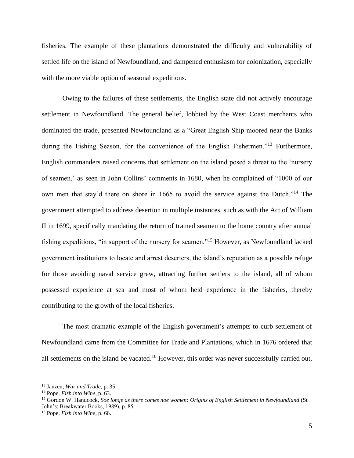fisheries. The example of these plantations demonstrated the difficulty and vulnerability of settled life on the island of Newfoundland, and dampened enthusiasm for colonization, especially with the more viable option of seasonal expeditions.

Owing to the failures of these settlements, the English state did not actively encourage settlement in Newfoundland. The general belief, lobbied by the West Coast merchants who dominated the trade, presented Newfoundland as a "Great English Ship moored near the Banks during the Fishing Season, for the convenience of the English Fishermen."<sup>13</sup> Furthermore, English commanders raised concerns that settlement on the island posed a threat to the 'nursery of seamen,' as seen in John Collins' comments in 1680, when he complained of "1000 of our own men that stay'd there on shore in 1665 to avoid the service against the Dutch."<sup>14</sup> The government attempted to address desertion in multiple instances, such as with the Act of William II in 1699, specifically mandating the return of trained seamen to the home country after annual fishing expeditions, "in support of the nursery for seamen."<sup>15</sup> However, as Newfoundland lacked government institutions to locate and arrest deserters, the island's reputation as a possible refuge for those avoiding naval service grew, attracting further settlers to the island, all of whom possessed experience at sea and most of whom held experience in the fisheries, thereby contributing to the growth of the local fisheries.

The most dramatic example of the English government's attempts to curb settlement of Newfoundland came from the Committee for Trade and Plantations, which in 1676 ordered that all settlements on the island be vacated.<sup>16</sup> However, this order was never successfully carried out,

<sup>13</sup> Janzen, *War and Trade*, p. 35.

<sup>14</sup> Pope, *Fish into Wine*, p. 63.

<sup>15</sup> Gordon W. Handcock, *Soe longe as there comes noe women: Origins of English Settlement in Newfoundland* (St John's: Breakwater Books, 1989), p. 85.

<sup>16</sup> Pope, *Fish into Wine*, p. 66.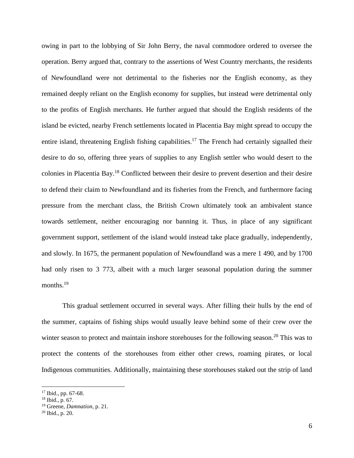owing in part to the lobbying of Sir John Berry, the naval commodore ordered to oversee the operation. Berry argued that, contrary to the assertions of West Country merchants, the residents of Newfoundland were not detrimental to the fisheries nor the English economy, as they remained deeply reliant on the English economy for supplies, but instead were detrimental only to the profits of English merchants. He further argued that should the English residents of the island be evicted, nearby French settlements located in Placentia Bay might spread to occupy the entire island, threatening English fishing capabilities.<sup>17</sup> The French had certainly signalled their desire to do so, offering three years of supplies to any English settler who would desert to the colonies in Placentia Bay.<sup>18</sup> Conflicted between their desire to prevent desertion and their desire to defend their claim to Newfoundland and its fisheries from the French, and furthermore facing pressure from the merchant class, the British Crown ultimately took an ambivalent stance towards settlement, neither encouraging nor banning it. Thus, in place of any significant government support, settlement of the island would instead take place gradually, independently, and slowly. In 1675, the permanent population of Newfoundland was a mere 1 490, and by 1700 had only risen to 3 773, albeit with a much larger seasonal population during the summer months.<sup>19</sup>

This gradual settlement occurred in several ways. After filling their hulls by the end of the summer, captains of fishing ships would usually leave behind some of their crew over the winter season to protect and maintain inshore storehouses for the following season.<sup>20</sup> This was to protect the contents of the storehouses from either other crews, roaming pirates, or local Indigenous communities. Additionally, maintaining these storehouses staked out the strip of land

<sup>17</sup> Ibid., pp. 67-68.

<sup>18</sup> Ibid., p. 67.

<sup>19</sup> Greene, *Damnation*, p. 21.

<sup>20</sup> Ibid., p. 20.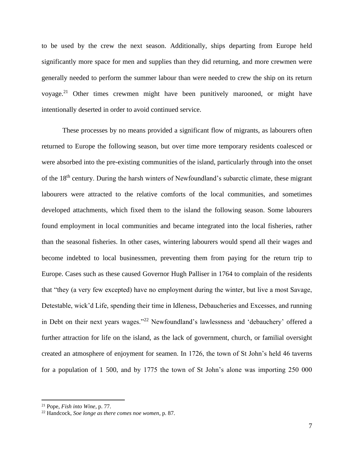to be used by the crew the next season. Additionally, ships departing from Europe held significantly more space for men and supplies than they did returning, and more crewmen were generally needed to perform the summer labour than were needed to crew the ship on its return voyage.<sup>21</sup> Other times crewmen might have been punitively marooned, or might have intentionally deserted in order to avoid continued service.

These processes by no means provided a significant flow of migrants, as labourers often returned to Europe the following season, but over time more temporary residents coalesced or were absorbed into the pre-existing communities of the island, particularly through into the onset of the 18<sup>th</sup> century. During the harsh winters of Newfoundland's subarctic climate, these migrant labourers were attracted to the relative comforts of the local communities, and sometimes developed attachments, which fixed them to the island the following season. Some labourers found employment in local communities and became integrated into the local fisheries, rather than the seasonal fisheries. In other cases, wintering labourers would spend all their wages and become indebted to local businessmen, preventing them from paying for the return trip to Europe. Cases such as these caused Governor Hugh Palliser in 1764 to complain of the residents that "they (a very few excepted) have no employment during the winter, but live a most Savage, Detestable, wick'd Life, spending their time in Idleness, Debaucheries and Excesses, and running in Debt on their next years wages."<sup>22</sup> Newfoundland's lawlessness and 'debauchery' offered a further attraction for life on the island, as the lack of government, church, or familial oversight created an atmosphere of enjoyment for seamen. In 1726, the town of St John's held 46 taverns for a population of 1 500, and by 1775 the town of St John's alone was importing 250 000

<sup>21</sup> Pope, *Fish into Wine*, p. 77.

<sup>22</sup> Handcock, *Soe longe as there comes noe women*, p. 87.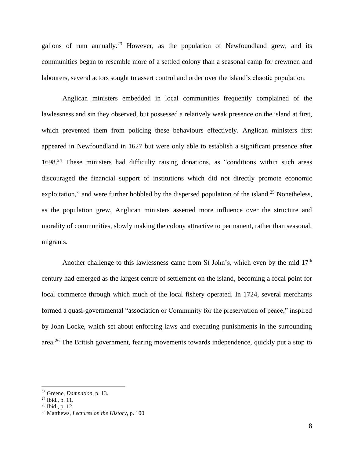gallons of rum annually.<sup>23</sup> However, as the population of Newfoundland grew, and its communities began to resemble more of a settled colony than a seasonal camp for crewmen and labourers, several actors sought to assert control and order over the island's chaotic population.

Anglican ministers embedded in local communities frequently complained of the lawlessness and sin they observed, but possessed a relatively weak presence on the island at first, which prevented them from policing these behaviours effectively. Anglican ministers first appeared in Newfoundland in 1627 but were only able to establish a significant presence after 1698.<sup>24</sup> These ministers had difficulty raising donations, as "conditions within such areas discouraged the financial support of institutions which did not directly promote economic exploitation," and were further hobbled by the dispersed population of the island.<sup>25</sup> Nonetheless, as the population grew, Anglican ministers asserted more influence over the structure and morality of communities, slowly making the colony attractive to permanent, rather than seasonal, migrants.

Another challenge to this lawlessness came from St John's, which even by the mid  $17<sup>th</sup>$ century had emerged as the largest centre of settlement on the island, becoming a focal point for local commerce through which much of the local fishery operated. In 1724, several merchants formed a quasi-governmental "association or Community for the preservation of peace," inspired by John Locke, which set about enforcing laws and executing punishments in the surrounding area.<sup>26</sup> The British government, fearing movements towards independence, quickly put a stop to

<sup>23</sup> Greene, *Damnation*, p. 13.

 $24$  Ibid., p. 11.

 $25$  Ibid., p. 12.

<sup>26</sup> Matthews, *Lectures on the History*, p. 100.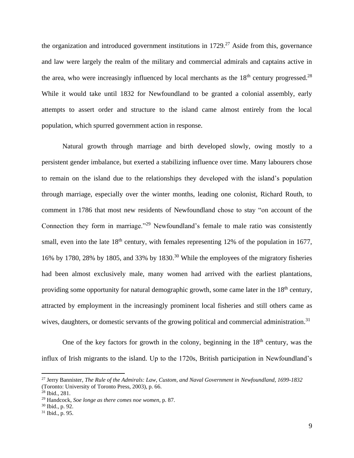the organization and introduced government institutions in  $1729<sup>27</sup>$  Aside from this, governance and law were largely the realm of the military and commercial admirals and captains active in the area, who were increasingly influenced by local merchants as the  $18<sup>th</sup>$  century progressed.<sup>28</sup> While it would take until 1832 for Newfoundland to be granted a colonial assembly, early attempts to assert order and structure to the island came almost entirely from the local population, which spurred government action in response.

Natural growth through marriage and birth developed slowly, owing mostly to a persistent gender imbalance, but exerted a stabilizing influence over time. Many labourers chose to remain on the island due to the relationships they developed with the island's population through marriage, especially over the winter months, leading one colonist, Richard Routh, to comment in 1786 that most new residents of Newfoundland chose to stay "on account of the Connection they form in marriage."<sup>29</sup> Newfoundland's female to male ratio was consistently small, even into the late  $18<sup>th</sup>$  century, with females representing 12% of the population in 1677, 16% by 1780, 28% by 1805, and 33% by 1830.<sup>30</sup> While the employees of the migratory fisheries had been almost exclusively male, many women had arrived with the earliest plantations, providing some opportunity for natural demographic growth, some came later in the 18<sup>th</sup> century, attracted by employment in the increasingly prominent local fisheries and still others came as wives, daughters, or domestic servants of the growing political and commercial administration.<sup>31</sup>

One of the key factors for growth in the colony, beginning in the  $18<sup>th</sup>$  century, was the influx of Irish migrants to the island. Up to the 1720s, British participation in Newfoundland's

<sup>27</sup> Jerry Bannister, *The Rule of the Admirals: Law, Custom, and Naval Government in Newfoundland, 1699-1832* (Toronto: University of Toronto Press, 2003), p. 66.

<sup>28</sup> Ibid., 281.

<sup>29</sup> Handcock, *Soe longe as there comes noe women*, p. 87.

<sup>30</sup> Ibid., p. 92.

<sup>31</sup> Ibid., p. 95.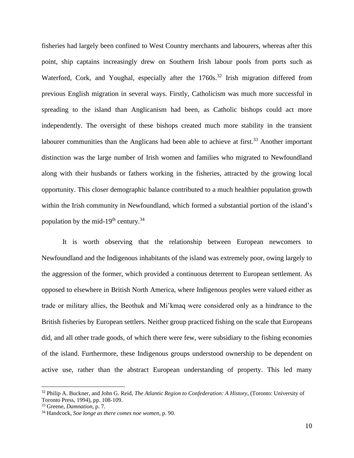fisheries had largely been confined to West Country merchants and labourers, whereas after this point, ship captains increasingly drew on Southern Irish labour pools from ports such as Waterford, Cork, and Youghal, especially after the 1760s.<sup>32</sup> Irish migration differed from previous English migration in several ways. Firstly, Catholicism was much more successful in spreading to the island than Anglicanism had been, as Catholic bishops could act more independently. The oversight of these bishops created much more stability in the transient labourer communities than the Anglicans had been able to achieve at first.<sup>33</sup> Another important distinction was the large number of Irish women and families who migrated to Newfoundland along with their husbands or fathers working in the fisheries, attracted by the growing local opportunity. This closer demographic balance contributed to a much healthier population growth within the Irish community in Newfoundland, which formed a substantial portion of the island's population by the mid-19<sup>th</sup> century.<sup>34</sup>

It is worth observing that the relationship between European newcomers to Newfoundland and the Indigenous inhabitants of the island was extremely poor, owing largely to the aggression of the former, which provided a continuous deterrent to European settlement. As opposed to elsewhere in British North America, where Indigenous peoples were valued either as trade or military allies, the Beothuk and Mi'kmaq were considered only as a hindrance to the British fisheries by European settlers. Neither group practiced fishing on the scale that Europeans did, and all other trade goods, of which there were few, were subsidiary to the fishing economies of the island. Furthermore, these Indigenous groups understood ownership to be dependent on active use, rather than the abstract European understanding of property. This led many

<sup>32</sup> Philip A. Buckner, and John G. Reid, *The Atlantic Region to Confederation: A History*, (Toronto: University of Toronto Press, 1994), pp. 108-109.

<sup>33</sup> Greene, *Damnation*, p. 7.

<sup>34</sup> Handcock, *Soe longe as there comes noe women*, p. 90.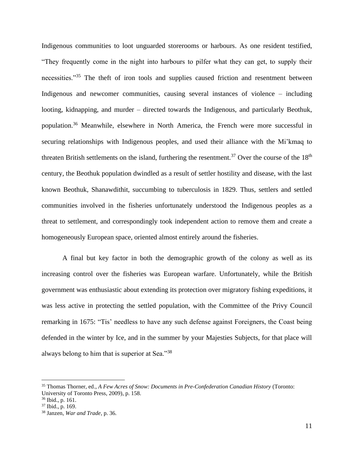Indigenous communities to loot unguarded storerooms or harbours. As one resident testified, "They frequently come in the night into harbours to pilfer what they can get, to supply their necessities."<sup>35</sup> The theft of iron tools and supplies caused friction and resentment between Indigenous and newcomer communities, causing several instances of violence – including looting, kidnapping, and murder – directed towards the Indigenous, and particularly Beothuk, population. <sup>36</sup> Meanwhile, elsewhere in North America, the French were more successful in securing relationships with Indigenous peoples, and used their alliance with the Mi'kmaq to threaten British settlements on the island, furthering the resentment.<sup>37</sup> Over the course of the  $18<sup>th</sup>$ century, the Beothuk population dwindled as a result of settler hostility and disease, with the last known Beothuk, Shanawdithit, succumbing to tuberculosis in 1829. Thus, settlers and settled communities involved in the fisheries unfortunately understood the Indigenous peoples as a threat to settlement, and correspondingly took independent action to remove them and create a homogeneously European space, oriented almost entirely around the fisheries.

A final but key factor in both the demographic growth of the colony as well as its increasing control over the fisheries was European warfare. Unfortunately, while the British government was enthusiastic about extending its protection over migratory fishing expeditions, it was less active in protecting the settled population, with the Committee of the Privy Council remarking in 1675: "Tis' needless to have any such defense against Foreigners, the Coast being defended in the winter by Ice, and in the summer by your Majesties Subjects, for that place will always belong to him that is superior at Sea."<sup>38</sup>

<sup>35</sup> Thomas Thorner, ed., *A Few Acres of Snow: Documents in Pre-Confederation Canadian History* (Toronto: University of Toronto Press, 2009), p. 158.

 $36$  Ibid., p. 161.

<sup>37</sup> Ibid., p. 169.

<sup>38</sup> Janzen, *War and Trade*, p. 36.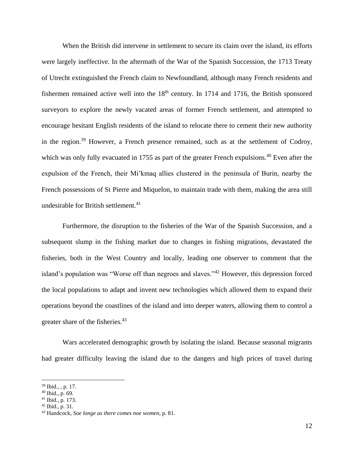When the British did intervene in settlement to secure its claim over the island, its efforts were largely ineffective. In the aftermath of the War of the Spanish Succession, the 1713 Treaty of Utrecht extinguished the French claim to Newfoundland, although many French residents and fishermen remained active well into the  $18<sup>th</sup>$  century. In 1714 and 1716, the British sponsored surveyors to explore the newly vacated areas of former French settlement, and attempted to encourage hesitant English residents of the island to relocate there to cement their new authority in the region.<sup>39</sup> However, a French presence remained, such as at the settlement of Codroy, which was only fully evacuated in 1755 as part of the greater French expulsions.<sup>40</sup> Even after the expulsion of the French, their Mi'kmaq allies clustered in the peninsula of Burin, nearby the French possessions of St Pierre and Miquelon, to maintain trade with them, making the area still undesirable for British settlement. $41$ 

Furthermore, the disruption to the fisheries of the War of the Spanish Succession, and a subsequent slump in the fishing market due to changes in fishing migrations, devastated the fisheries, both in the West Country and locally, leading one observer to comment that the island's population was "Worse off than negroes and slaves."<sup>42</sup> However, this depression forced the local populations to adapt and invent new technologies which allowed them to expand their operations beyond the coastlines of the island and into deeper waters, allowing them to control a greater share of the fisheries.<sup>43</sup>

Wars accelerated demographic growth by isolating the island. Because seasonal migrants had greater difficulty leaving the island due to the dangers and high prices of travel during

<sup>39</sup> Ibid., , p. 17.

 $40$  Ibid., p. 69.

<sup>41</sup> Ibid., p. 173.

 $42$  Ibid., p. 31.

<sup>43</sup> Handcock, *Soe longe as there comes noe women*, p. 81.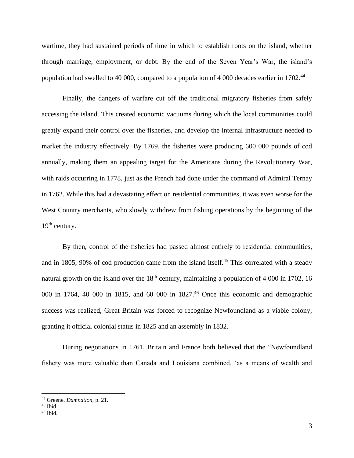wartime, they had sustained periods of time in which to establish roots on the island, whether through marriage, employment, or debt. By the end of the Seven Year's War, the island's population had swelled to 40 000, compared to a population of 4 000 decades earlier in 1702.<sup>44</sup>

Finally, the dangers of warfare cut off the traditional migratory fisheries from safely accessing the island. This created economic vacuums during which the local communities could greatly expand their control over the fisheries, and develop the internal infrastructure needed to market the industry effectively. By 1769, the fisheries were producing 600 000 pounds of cod annually, making them an appealing target for the Americans during the Revolutionary War, with raids occurring in 1778, just as the French had done under the command of Admiral Ternay in 1762. While this had a devastating effect on residential communities, it was even worse for the West Country merchants, who slowly withdrew from fishing operations by the beginning of the  $19<sup>th</sup>$  century.

By then, control of the fisheries had passed almost entirely to residential communities, and in 1805, 90% of cod production came from the island itself.<sup>45</sup> This correlated with a steady natural growth on the island over the  $18<sup>th</sup>$  century, maintaining a population of 4 000 in 1702, 16 000 in 1764, 40 000 in 1815, and 60 000 in 1827. <sup>46</sup> Once this economic and demographic success was realized, Great Britain was forced to recognize Newfoundland as a viable colony, granting it official colonial status in 1825 and an assembly in 1832.

During negotiations in 1761, Britain and France both believed that the "Newfoundland fishery was more valuable than Canada and Louisiana combined, 'as a means of wealth and

<sup>44</sup> Greene, *Damnation*, p. 21.

 $45$  Ibid.

 $46$  Ibid.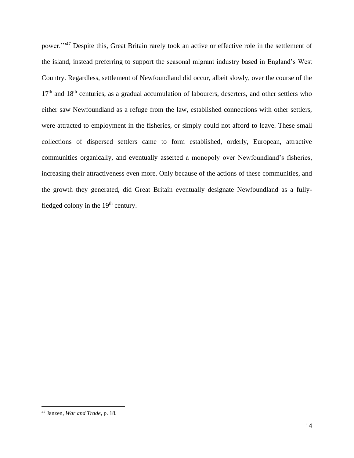power."<sup>47</sup> Despite this, Great Britain rarely took an active or effective role in the settlement of the island, instead preferring to support the seasonal migrant industry based in England's West Country. Regardless, settlement of Newfoundland did occur, albeit slowly, over the course of the  $17<sup>th</sup>$  and  $18<sup>th</sup>$  centuries, as a gradual accumulation of labourers, deserters, and other settlers who either saw Newfoundland as a refuge from the law, established connections with other settlers, were attracted to employment in the fisheries, or simply could not afford to leave. These small collections of dispersed settlers came to form established, orderly, European, attractive communities organically, and eventually asserted a monopoly over Newfoundland's fisheries, increasing their attractiveness even more. Only because of the actions of these communities, and the growth they generated, did Great Britain eventually designate Newfoundland as a fullyfledged colony in the  $19<sup>th</sup>$  century.

<sup>47</sup> Janzen, *War and Trade*, p. 18.